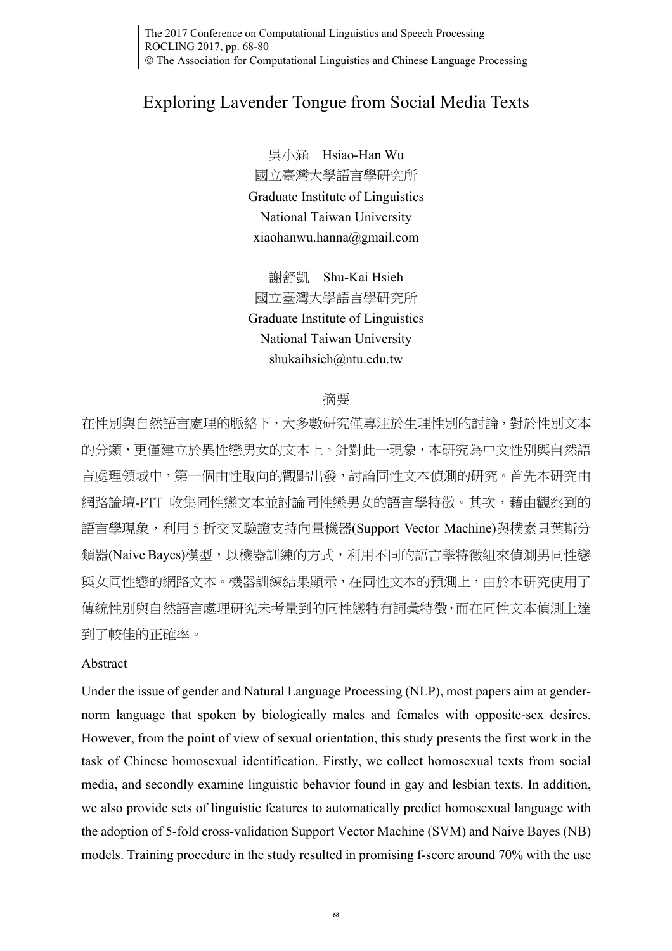The 2017 Conference on Computational Linguistics and Speech Processing ROCLING 2017, pp. 68-80 The Association for Computational Linguistics and Chinese Language Processing

# Exploring Lavender Tongue from Social Media Texts

吳小涵 Hsiao-Han Wu 國立臺灣大學語言學研究所 Graduate Institute of Linguistics National Taiwan University xiaohanwu.hanna@gmail.com

謝舒凱 Shu-Kai Hsieh 國立臺灣大學語言學研究所 Graduate Institute of Linguistics National Taiwan University shukaihsieh@ntu.edu.tw

#### 摘要

在性別與自然語言處理的脈絡下,大多數研究僅專注於生理性別的討論,對於性別文本 的分類,更僅建立於異性戀男女的文本上。針對此一現象,本研究為中文性別與自然語 言處理領域中,第一個由性取向的觀點出發,討論同性文本偵測的研究。首先本研究由 網路論壇-PTT 收集同性戀文本並討論同性戀男女的語言學特徵。其次,藉由觀察到的 語言學現象,利用 5 折交叉驗證支持向量機器(Support Vector Machine)與樸素貝葉斯分 類器(Naive Bayes)模型,以機器訓練的方式,利用不同的語言學特徵組來偵測男同性戀 與女同性戀的網路文本。機器訓練結果顯示,在同性文本的預測上,由於本研究使用了 傳統性別與自然語言處理研究未考量到的同性戀特有詞彙特徵,而在同性文本偵測上達 到了較佳的正確率。

#### Abstract

Under the issue of gender and Natural Language Processing (NLP), most papers aim at gendernorm language that spoken by biologically males and females with opposite-sex desires. However, from the point of view of sexual orientation, this study presents the first work in the task of Chinese homosexual identification. Firstly, we collect homosexual texts from social media, and secondly examine linguistic behavior found in gay and lesbian texts. In addition, we also provide sets of linguistic features to automatically predict homosexual language with the adoption of 5-fold cross-validation Support Vector Machine (SVM) and Naive Bayes (NB) models. Training procedure in the study resulted in promising f-score around 70% with the use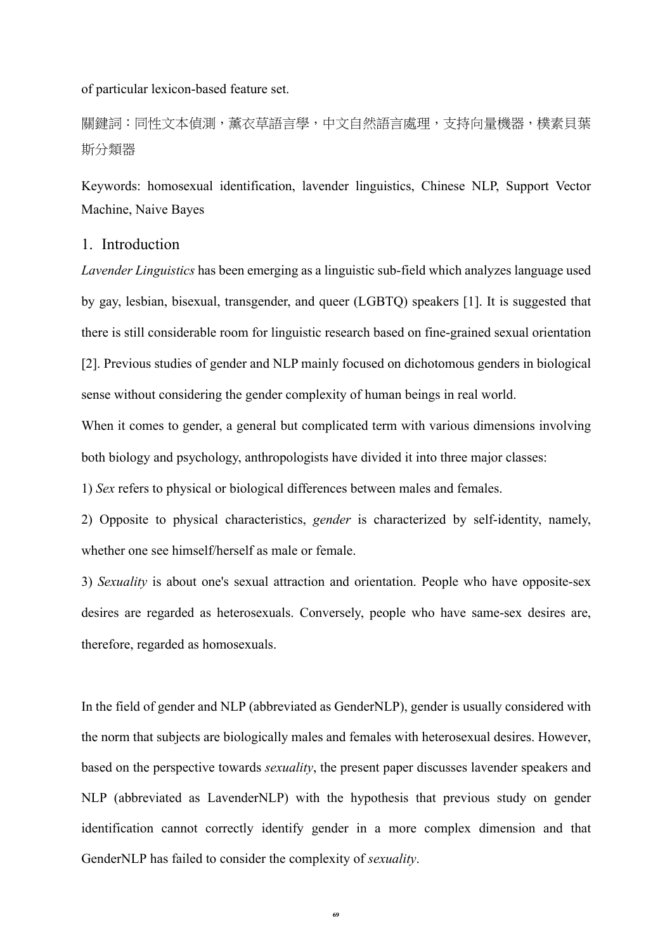of particular lexicon-based feature set.

關鍵詞:同性文本偵測,薰衣草語言學,中文自然語言處理,支持向量機器,樸素貝葉 斯分類器

Keywords: homosexual identification, lavender linguistics, Chinese NLP, Support Vector Machine, Naive Bayes

## 1. Introduction

*Lavender Linguistics* has been emerging as a linguistic sub-field which analyzes language used by gay, lesbian, bisexual, transgender, and queer (LGBTQ) speakers [1]. It is suggested that there is still considerable room for linguistic research based on fine-grained sexual orientation [2]. Previous studies of gender and NLP mainly focused on dichotomous genders in biological sense without considering the gender complexity of human beings in real world.

When it comes to gender, a general but complicated term with various dimensions involving both biology and psychology, anthropologists have divided it into three major classes:

1) *Sex* refers to physical or biological differences between males and females.

2) Opposite to physical characteristics, *gender* is characterized by self-identity, namely, whether one see himself/herself as male or female.

3) *Sexuality* is about one's sexual attraction and orientation. People who have opposite-sex desires are regarded as heterosexuals. Conversely, people who have same-sex desires are, therefore, regarded as homosexuals.

In the field of gender and NLP (abbreviated as GenderNLP), gender is usually considered with the norm that subjects are biologically males and females with heterosexual desires. However, based on the perspective towards *sexuality*, the present paper discusses lavender speakers and NLP (abbreviated as LavenderNLP) with the hypothesis that previous study on gender identification cannot correctly identify gender in a more complex dimension and that GenderNLP has failed to consider the complexity of *sexuality*.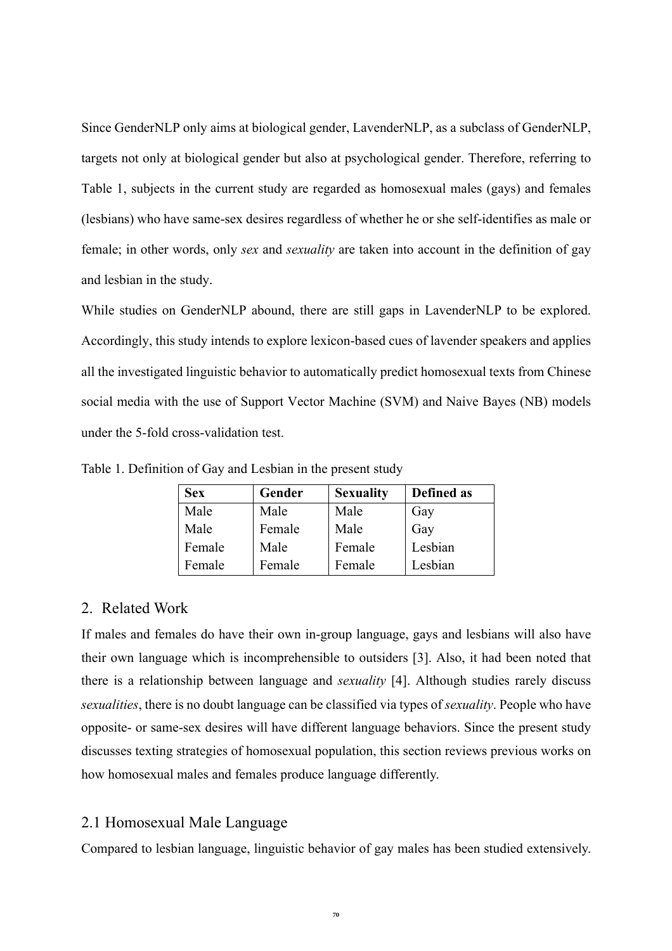Since GenderNLP only aims at biological gender, LavenderNLP, as a subclass of GenderNLP, targets not only at biological gender but also at psychological gender. Therefore, referring to Table 1, subjects in the current study are regarded as homosexual males (gays) and females (lesbians) who have same-sex desires regardless of whether he or she self-identifies as male or female; in other words, only *sex* and *sexuality* are taken into account in the definition of gay and lesbian in the study.

While studies on GenderNLP abound, there are still gaps in LavenderNLP to be explored. Accordingly, this study intends to explore lexicon-based cues of lavender speakers and applies all the investigated linguistic behavior to automatically predict homosexual texts from Chinese social media with the use of Support Vector Machine (SVM) and Naive Bayes (NB) models under the 5-fold cross-validation test.

| <b>Sex</b> | Gender | <b>Sexuality</b> | Defined as |
|------------|--------|------------------|------------|
| Male       | Male   | Male             | Gay        |
| Male       | Female | Male             | Gay        |
| Female     | Male   | Female           | Lesbian    |
| Female     | Female | Female           | Lesbian    |

Table 1. Definition of Gay and Lesbian in the present study

#### 2. Related Work

If males and females do have their own in-group language, gays and lesbians will also have their own language which is incomprehensible to outsiders [3]. Also, it had been noted that there is a relationship between language and *sexuality* [4]. Although studies rarely discuss *sexualities*, there is no doubt language can be classified via types of *sexuality*. People who have opposite- or same-sex desires will have different language behaviors. Since the present study discusses texting strategies of homosexual population, this section reviews previous works on how homosexual males and females produce language differently.

## 2.1 Homosexual Male Language

Compared to lesbian language, linguistic behavior of gay males has been studied extensively.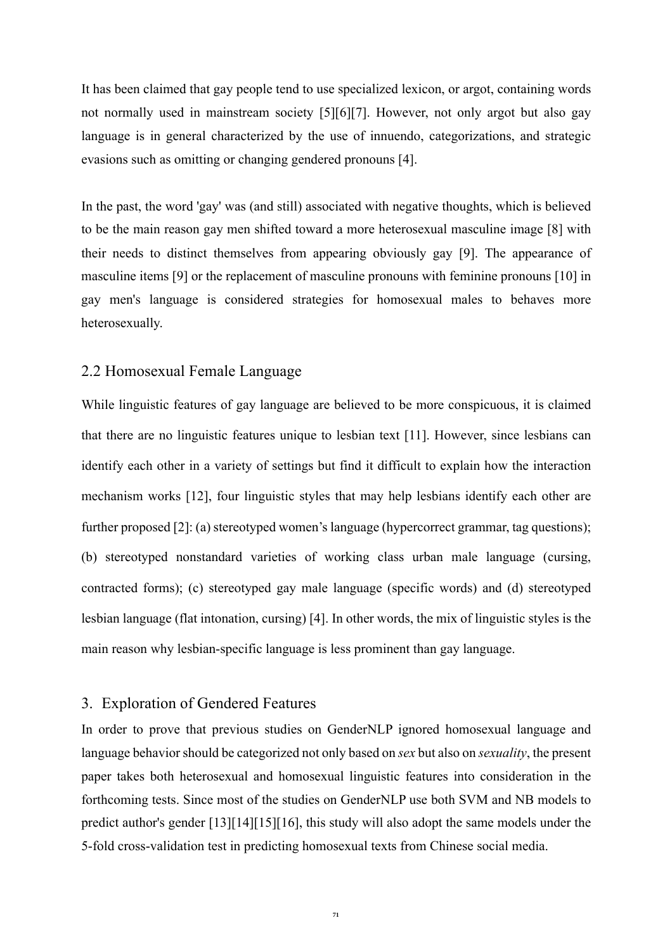It has been claimed that gay people tend to use specialized lexicon, or argot, containing words not normally used in mainstream society [5][6][7]. However, not only argot but also gay language is in general characterized by the use of innuendo, categorizations, and strategic evasions such as omitting or changing gendered pronouns [4].

In the past, the word 'gay' was (and still) associated with negative thoughts, which is believed to be the main reason gay men shifted toward a more heterosexual masculine image [8] with their needs to distinct themselves from appearing obviously gay [9]. The appearance of masculine items [9] or the replacement of masculine pronouns with feminine pronouns [10] in gay men's language is considered strategies for homosexual males to behaves more heterosexually.

#### 2.2 Homosexual Female Language

While linguistic features of gay language are believed to be more conspicuous, it is claimed that there are no linguistic features unique to lesbian text [11]. However, since lesbians can identify each other in a variety of settings but find it difficult to explain how the interaction mechanism works [12], four linguistic styles that may help lesbians identify each other are further proposed [2]: (a) stereotyped women's language (hypercorrect grammar, tag questions); (b) stereotyped nonstandard varieties of working class urban male language (cursing, contracted forms); (c) stereotyped gay male language (specific words) and (d) stereotyped lesbian language (flat intonation, cursing) [4]. In other words, the mix of linguistic styles is the main reason why lesbian-specific language is less prominent than gay language.

#### 3. Exploration of Gendered Features

In order to prove that previous studies on GenderNLP ignored homosexual language and language behavior should be categorized not only based on *sex* but also on *sexuality*, the present paper takes both heterosexual and homosexual linguistic features into consideration in the forthcoming tests. Since most of the studies on GenderNLP use both SVM and NB models to predict author's gender [13][14][15][16], this study will also adopt the same models under the 5-fold cross-validation test in predicting homosexual texts from Chinese social media.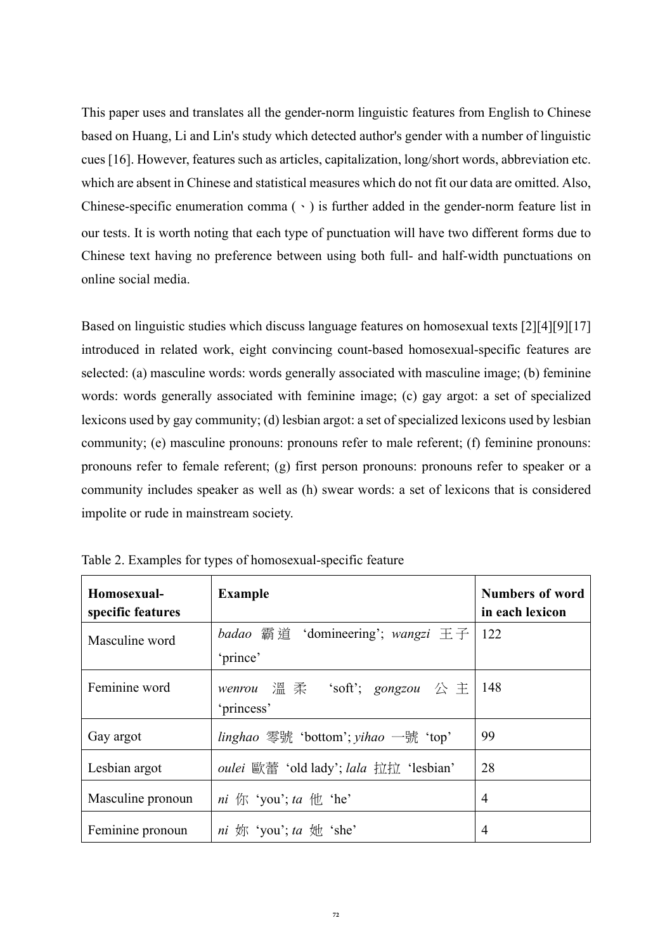This paper uses and translates all the gender-norm linguistic features from English to Chinese based on Huang, Li and Lin's study which detected author's gender with a number of linguistic cues [16]. However, features such as articles, capitalization, long/short words, abbreviation etc. which are absent in Chinese and statistical measures which do not fit our data are omitted. Also, Chinese-specific enumeration comma  $( \cdot )$  is further added in the gender-norm feature list in our tests. It is worth noting that each type of punctuation will have two different forms due to Chinese text having no preference between using both full- and half-width punctuations on online social media.

Based on linguistic studies which discuss language features on homosexual texts [2][4][9][17] introduced in related work, eight convincing count-based homosexual-specific features are selected: (a) masculine words: words generally associated with masculine image; (b) feminine words: words generally associated with feminine image; (c) gay argot: a set of specialized lexicons used by gay community; (d) lesbian argot: a set of specialized lexicons used by lesbian community; (e) masculine pronouns: pronouns refer to male referent; (f) feminine pronouns: pronouns refer to female referent; (g) first person pronouns: pronouns refer to speaker or a community includes speaker as well as (h) swear words: a set of lexicons that is considered impolite or rude in mainstream society.

| Homosexual-<br>specific features | <b>Example</b>                                                                                                                                                                                                                                                                                                                                                                                                                                                                                   | <b>Numbers of word</b><br>in each lexicon |
|----------------------------------|--------------------------------------------------------------------------------------------------------------------------------------------------------------------------------------------------------------------------------------------------------------------------------------------------------------------------------------------------------------------------------------------------------------------------------------------------------------------------------------------------|-------------------------------------------|
| Masculine word                   | <i>badao</i> 霸道 'domineering'; <i>wangzi</i> 王子<br>'prince'                                                                                                                                                                                                                                                                                                                                                                                                                                      | 122                                       |
| Feminine word                    | wenrou $\mathbb{R}$ $\mathbb{R}$ 'soft'; gongzou $\triangle \pm$<br>'princess'                                                                                                                                                                                                                                                                                                                                                                                                                   | 148                                       |
| Gay argot                        | <i>linghao</i> 零號 'bottom'; <i>yihao</i> 一號 'top'                                                                                                                                                                                                                                                                                                                                                                                                                                                | 99                                        |
| Lesbian argot                    | <i>oulei</i> 歐蕾 'old lady'; <i>lala</i> 拉拉 'lesbian'                                                                                                                                                                                                                                                                                                                                                                                                                                             | 28                                        |
| Masculine pronoun                | <i>ni</i> $\langle \nabla \cdot \nabla \times \nabla \cdot \nabla \cdot \nabla \cdot \nabla \cdot \nabla \cdot \nabla \cdot \nabla \cdot \nabla \cdot \nabla \cdot \nabla \cdot \nabla \cdot \nabla \cdot \nabla \cdot \nabla \cdot \nabla \cdot \nabla \cdot \nabla \cdot \nabla \cdot \nabla \cdot \nabla \cdot \nabla \cdot \nabla \cdot \nabla \cdot \nabla \cdot \nabla \cdot \nabla \cdot \nabla \cdot \nabla \cdot \nabla \cdot \nabla \cdot \nabla \cdot \nabla \cdot \nabla \cdot \nab$ | 4                                         |
| Feminine pronoun                 | <i>ni</i> 妳 'you'; ta 她 'she'                                                                                                                                                                                                                                                                                                                                                                                                                                                                    | 4                                         |

Table 2. Examples for types of homosexual-specific feature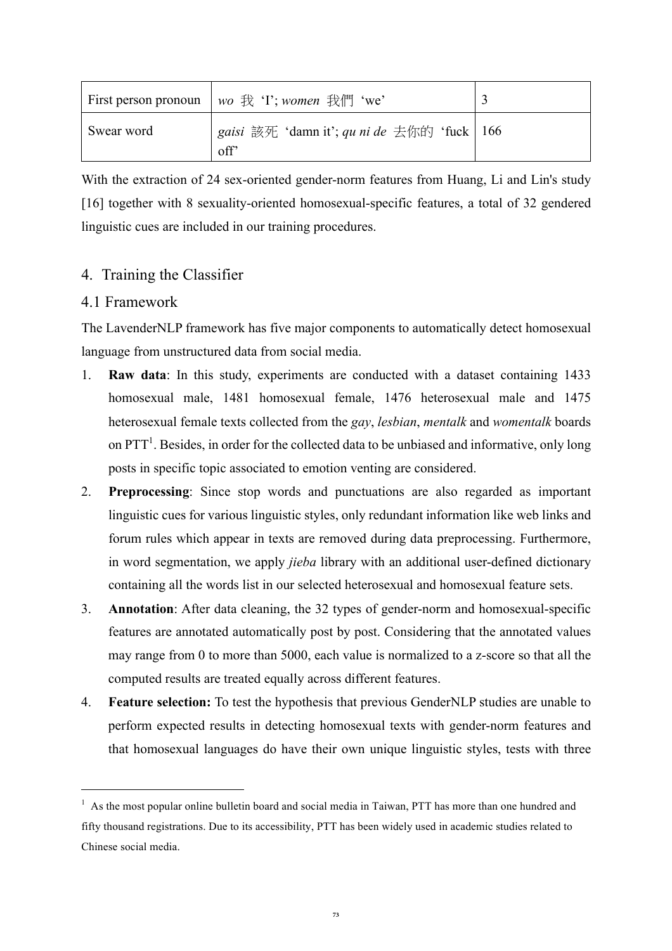|            | First person pronoun   wo $#$ 'I'; women $#$   'We'  |  |
|------------|------------------------------------------------------|--|
| Swear word | gaisi 該死 'damn it'; qu ni de 去你的 'fuck   166<br>off' |  |

With the extraction of 24 sex-oriented gender-norm features from Huang, Li and Lin's study [16] together with 8 sexuality-oriented homosexual-specific features, a total of 32 gendered linguistic cues are included in our training procedures.

# 4. Training the Classifier

# 4.1 Framework

<u>.</u>

The LavenderNLP framework has five major components to automatically detect homosexual language from unstructured data from social media.

- 1. **Raw data**: In this study, experiments are conducted with a dataset containing 1433 homosexual male, 1481 homosexual female, 1476 heterosexual male and 1475 heterosexual female texts collected from the *gay*, *lesbian*, *mentalk* and *womentalk* boards on  $PTT<sup>1</sup>$ . Besides, in order for the collected data to be unbiased and informative, only long posts in specific topic associated to emotion venting are considered.
- 2. **Preprocessing**: Since stop words and punctuations are also regarded as important linguistic cues for various linguistic styles, only redundant information like web links and forum rules which appear in texts are removed during data preprocessing. Furthermore, in word segmentation, we apply *jieba* library with an additional user-defined dictionary containing all the words list in our selected heterosexual and homosexual feature sets.
- 3. **Annotation**: After data cleaning, the 32 types of gender-norm and homosexual-specific features are annotated automatically post by post. Considering that the annotated values may range from 0 to more than 5000, each value is normalized to a z-score so that all the computed results are treated equally across different features.
- 4. **Feature selection:** To test the hypothesis that previous GenderNLP studies are unable to perform expected results in detecting homosexual texts with gender-norm features and that homosexual languages do have their own unique linguistic styles, tests with three

<sup>&</sup>lt;sup>1</sup> As the most popular online bulletin board and social media in Taiwan, PTT has more than one hundred and fifty thousand registrations. Due to its accessibility, PTT has been widely used in academic studies related to Chinese social media.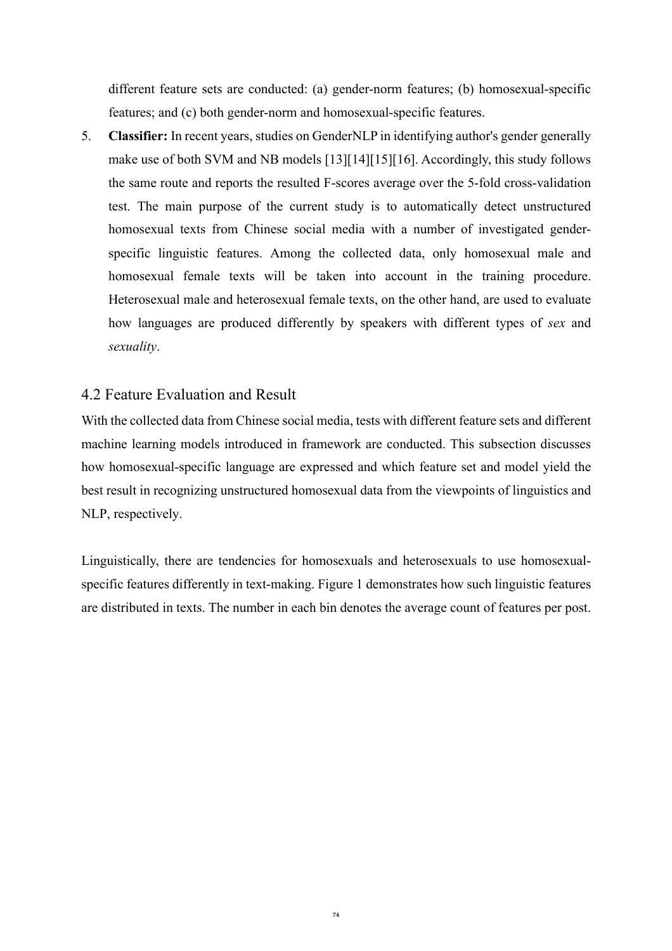different feature sets are conducted: (a) gender-norm features; (b) homosexual-specific features; and (c) both gender-norm and homosexual-specific features.

5. **Classifier:** In recent years, studies on GenderNLP in identifying author's gender generally make use of both SVM and NB models [13][14][15][16]. Accordingly, this study follows the same route and reports the resulted F-scores average over the 5-fold cross-validation test. The main purpose of the current study is to automatically detect unstructured homosexual texts from Chinese social media with a number of investigated genderspecific linguistic features. Among the collected data, only homosexual male and homosexual female texts will be taken into account in the training procedure. Heterosexual male and heterosexual female texts, on the other hand, are used to evaluate how languages are produced differently by speakers with different types of *sex* and *sexuality*.

# 4.2 Feature Evaluation and Result

With the collected data from Chinese social media, tests with different feature sets and different machine learning models introduced in framework are conducted. This subsection discusses how homosexual-specific language are expressed and which feature set and model yield the best result in recognizing unstructured homosexual data from the viewpoints of linguistics and NLP, respectively.

Linguistically, there are tendencies for homosexuals and heterosexuals to use homosexualspecific features differently in text-making. Figure 1 demonstrates how such linguistic features are distributed in texts. The number in each bin denotes the average count of features per post.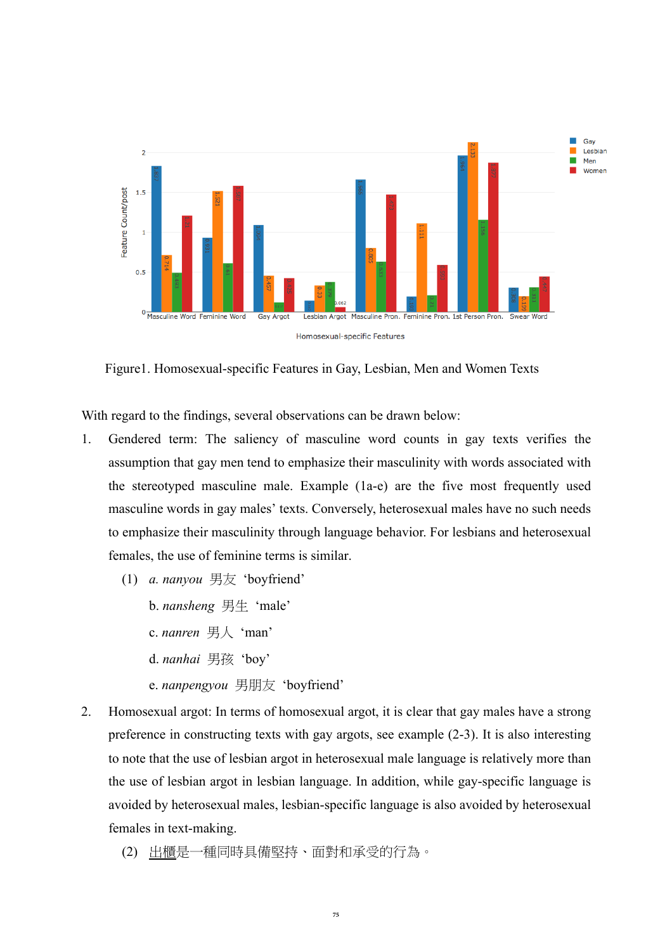

Figure1. Homosexual-specific Features in Gay, Lesbian, Men and Women Texts

With regard to the findings, several observations can be drawn below:

- 1. Gendered term: The saliency of masculine word counts in gay texts verifies the assumption that gay men tend to emphasize their masculinity with words associated with the stereotyped masculine male. Example (1a-e) are the five most frequently used masculine words in gay males' texts. Conversely, heterosexual males have no such needs to emphasize their masculinity through language behavior. For lesbians and heterosexual females, the use of feminine terms is similar.
	- (1) *a. nanyou* 男友 'boyfriend'
		- b. *nansheng* 男生 'male'
		- c. *nanren* 男人 'man'
		- d. *nanhai* 男孩 'boy'
		- e. *nanpengyou* 男朋友 'boyfriend'
- 2. Homosexual argot: In terms of homosexual argot, it is clear that gay males have a strong preference in constructing texts with gay argots, see example (2-3). It is also interesting to note that the use of lesbian argot in heterosexual male language is relatively more than the use of lesbian argot in lesbian language. In addition, while gay-specific language is avoided by heterosexual males, lesbian-specific language is also avoided by heterosexual females in text-making.
	- (2) 出櫃是一種同時具備堅持、面對和承受的行為。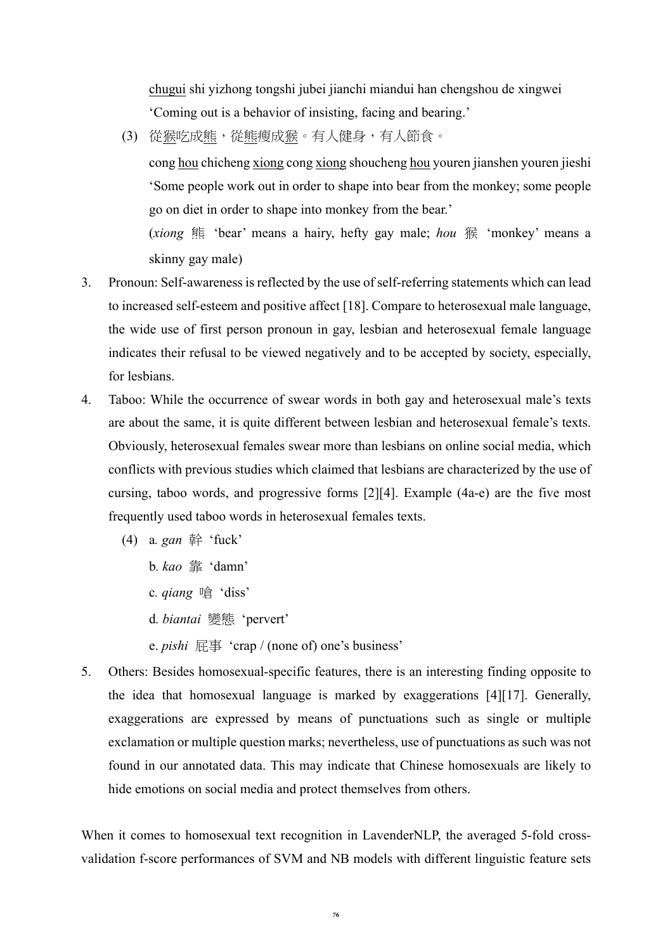chugui shi yizhong tongshi jubei jianchi miandui han chengshou de xingwei 'Coming out is a behavior of insisting, facing and bearing.'

(3) 從猴吃成熊,從熊瘦成猴。有人健身,有人節食。

cong hou chicheng xiong cong xiong shoucheng hou youren jianshen youren jieshi 'Some people work out in order to shape into bear from the monkey; some people go on diet in order to shape into monkey from the bear.'

(*xiong* 熊 'bear' means a hairy, hefty gay male; *hou* 猴 'monkey' means a skinny gay male)

- 3. Pronoun: Self-awareness is reflected by the use of self-referring statements which can lead to increased self-esteem and positive affect [18]. Compare to heterosexual male language, the wide use of first person pronoun in gay, lesbian and heterosexual female language indicates their refusal to be viewed negatively and to be accepted by society, especially, for lesbians.
- 4. Taboo: While the occurrence of swear words in both gay and heterosexual male's texts are about the same, it is quite different between lesbian and heterosexual female's texts. Obviously, heterosexual females swear more than lesbians on online social media, which conflicts with previous studies which claimed that lesbians are characterized by the use of cursing, taboo words, and progressive forms [2][4]. Example (4a-e) are the five most frequently used taboo words in heterosexual females texts.
	- (4) a*. gan* 幹 'fuck'
		- b*. kao* 靠 'damn'
		- c*. qiang* 嗆 'diss'
		- d*. biantai* 變態 'pervert'
		- e. *pishi* 屁事 'crap / (none of) one's business'
- 5. Others: Besides homosexual-specific features, there is an interesting finding opposite to the idea that homosexual language is marked by exaggerations [4][17]. Generally, exaggerations are expressed by means of punctuations such as single or multiple exclamation or multiple question marks; nevertheless, use of punctuations as such was not found in our annotated data. This may indicate that Chinese homosexuals are likely to hide emotions on social media and protect themselves from others.

When it comes to homosexual text recognition in LavenderNLP, the averaged 5-fold crossvalidation f-score performances of SVM and NB models with different linguistic feature sets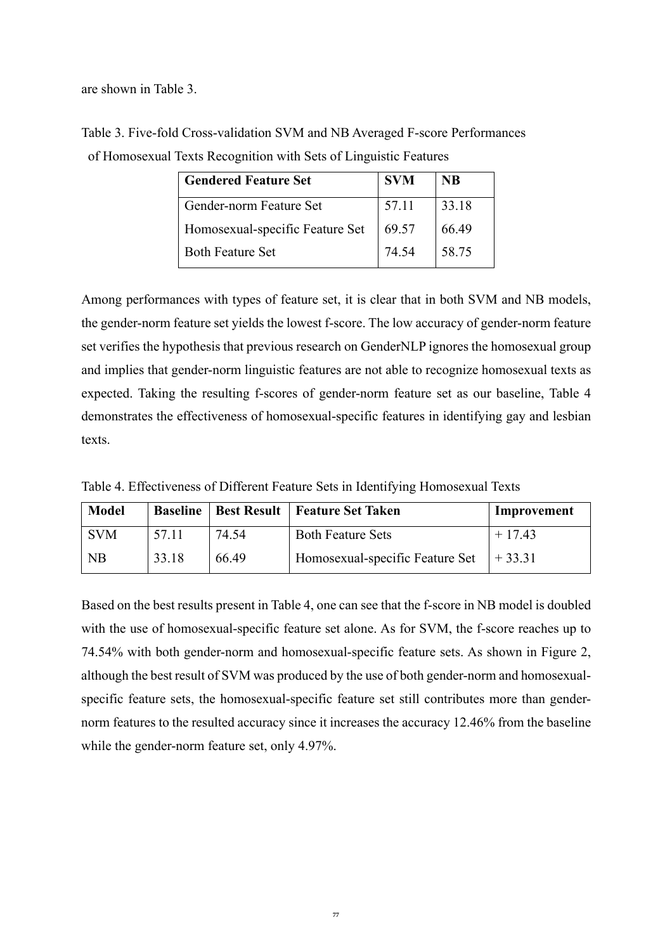are shown in Table 3.

| <b>SVM</b> | <b>NB</b> |  |
|------------|-----------|--|
| 57.11      | 33.18     |  |
| 69.57      | 66.49     |  |
| 74.54      | 58.75     |  |
|            |           |  |

Table 3. Five-fold Cross-validation SVM and NB Averaged F-score Performances of Homosexual Texts Recognition with Sets of Linguistic Features

Among performances with types of feature set, it is clear that in both SVM and NB models, the gender-norm feature set yields the lowest f-score. The low accuracy of gender-norm feature set verifies the hypothesis that previous research on GenderNLP ignores the homosexual group and implies that gender-norm linguistic features are not able to recognize homosexual texts as expected. Taking the resulting f-scores of gender-norm feature set as our baseline, Table 4 demonstrates the effectiveness of homosexual-specific features in identifying gay and lesbian texts.

Table 4. Effectiveness of Different Feature Sets in Identifying Homosexual Texts

| <b>Model</b> |       |       | <b>Baseline   Best Result   Feature Set Taken</b> | Improvement |
|--------------|-------|-------|---------------------------------------------------|-------------|
| <b>SVM</b>   | 57 11 | 74.54 | <b>Both Feature Sets</b>                          | $+17.43$    |
| NB           | 33.18 | 66.49 | Homosexual-specific Feature Set                   | $+33.31$    |

Based on the best results present in Table 4, one can see that the f-score in NB model is doubled with the use of homosexual-specific feature set alone. As for SVM, the f-score reaches up to 74.54% with both gender-norm and homosexual-specific feature sets. As shown in Figure 2, although the best result of SVM was produced by the use of both gender-norm and homosexualspecific feature sets, the homosexual-specific feature set still contributes more than gendernorm features to the resulted accuracy since it increases the accuracy 12.46% from the baseline while the gender-norm feature set, only 4.97%.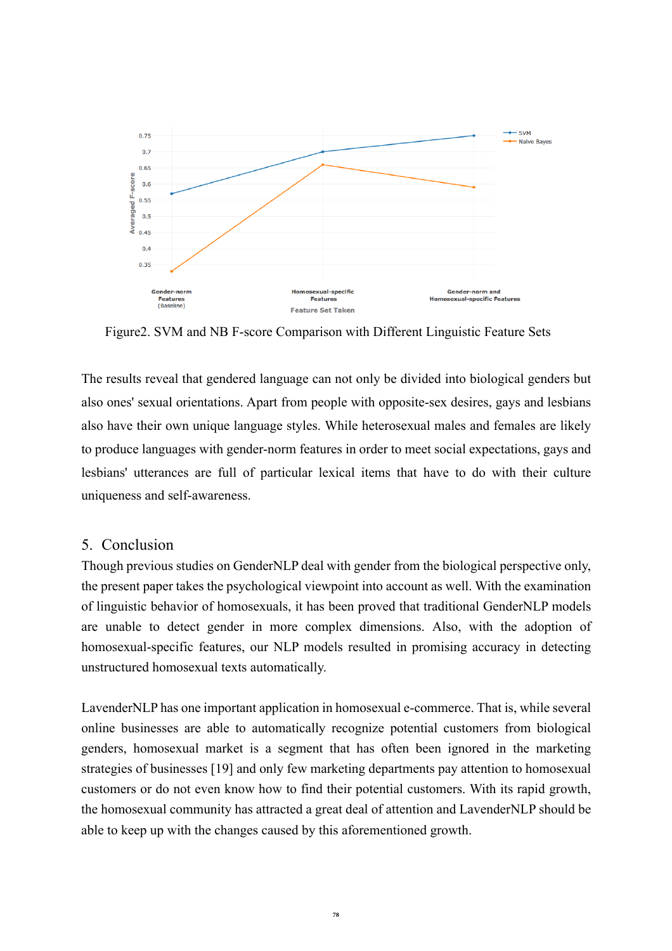

Figure2. SVM and NB F-score Comparison with Different Linguistic Feature Sets

The results reveal that gendered language can not only be divided into biological genders but also ones' sexual orientations. Apart from people with opposite-sex desires, gays and lesbians also have their own unique language styles. While heterosexual males and females are likely to produce languages with gender-norm features in order to meet social expectations, gays and lesbians' utterances are full of particular lexical items that have to do with their culture uniqueness and self-awareness.

## 5. Conclusion

Though previous studies on GenderNLP deal with gender from the biological perspective only, the present paper takes the psychological viewpoint into account as well. With the examination of linguistic behavior of homosexuals, it has been proved that traditional GenderNLP models are unable to detect gender in more complex dimensions. Also, with the adoption of homosexual-specific features, our NLP models resulted in promising accuracy in detecting unstructured homosexual texts automatically.

LavenderNLP has one important application in homosexual e-commerce. That is, while several online businesses are able to automatically recognize potential customers from biological genders, homosexual market is a segment that has often been ignored in the marketing strategies of businesses [19] and only few marketing departments pay attention to homosexual customers or do not even know how to find their potential customers. With its rapid growth, the homosexual community has attracted a great deal of attention and LavenderNLP should be able to keep up with the changes caused by this aforementioned growth.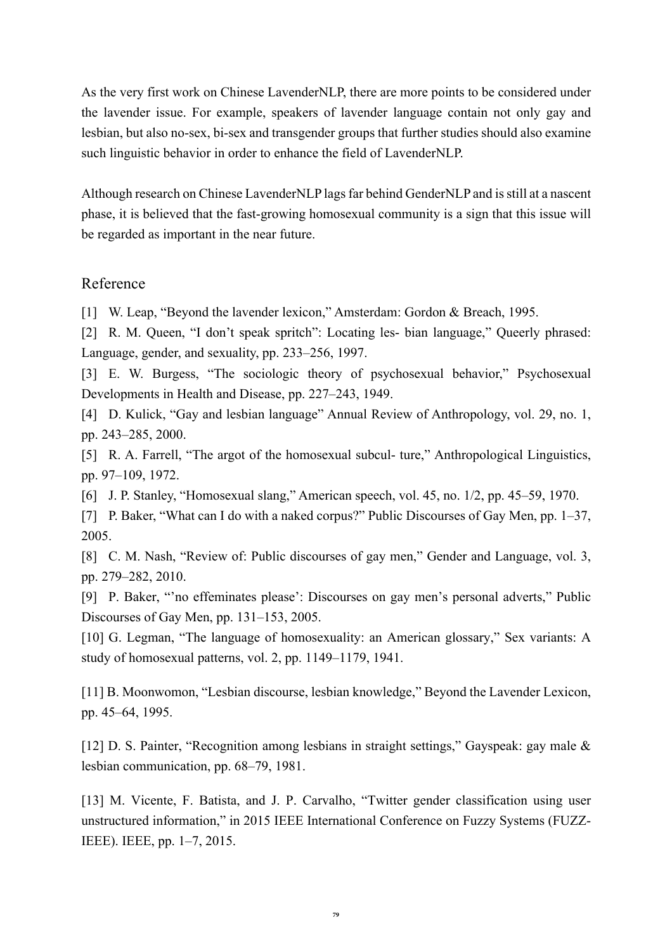As the very first work on Chinese LavenderNLP, there are more points to be considered under the lavender issue. For example, speakers of lavender language contain not only gay and lesbian, but also no-sex, bi-sex and transgender groups that further studies should also examine such linguistic behavior in order to enhance the field of LavenderNLP.

Although research on Chinese LavenderNLP lags far behind GenderNLP and is still at a nascent phase, it is believed that the fast-growing homosexual community is a sign that this issue will be regarded as important in the near future.

## Reference

[1] W. Leap, "Beyond the lavender lexicon," Amsterdam: Gordon & Breach, 1995.

[2] R. M. Queen, "I don't speak spritch": Locating les- bian language," Queerly phrased: Language, gender, and sexuality, pp. 233–256, 1997.

[3] E. W. Burgess, "The sociologic theory of psychosexual behavior," Psychosexual Developments in Health and Disease, pp. 227–243, 1949.

[4] D. Kulick, "Gay and lesbian language" Annual Review of Anthropology, vol. 29, no. 1, pp. 243–285, 2000.

[5] R. A. Farrell, "The argot of the homosexual subcul- ture," Anthropological Linguistics, pp. 97–109, 1972.

[6] J. P. Stanley, "Homosexual slang," American speech, vol. 45, no. 1/2, pp. 45–59, 1970.

[7] P. Baker, "What can I do with a naked corpus?" Public Discourses of Gay Men, pp. 1–37, 2005.

[8] C. M. Nash, "Review of: Public discourses of gay men," Gender and Language, vol. 3, pp. 279–282, 2010.

[9] P. Baker, "'no effeminates please': Discourses on gay men's personal adverts," Public Discourses of Gay Men, pp. 131–153, 2005.

[10] G. Legman, "The language of homosexuality: an American glossary," Sex variants: A study of homosexual patterns, vol. 2, pp. 1149–1179, 1941.

[11] B. Moonwomon, "Lesbian discourse, lesbian knowledge," Beyond the Lavender Lexicon, pp. 45–64, 1995.

[12] D. S. Painter, "Recognition among lesbians in straight settings," Gayspeak: gay male & lesbian communication, pp. 68–79, 1981.

[13] M. Vicente, F. Batista, and J. P. Carvalho, "Twitter gender classification using user unstructured information," in 2015 IEEE International Conference on Fuzzy Systems (FUZZ-IEEE). IEEE, pp. 1–7, 2015.